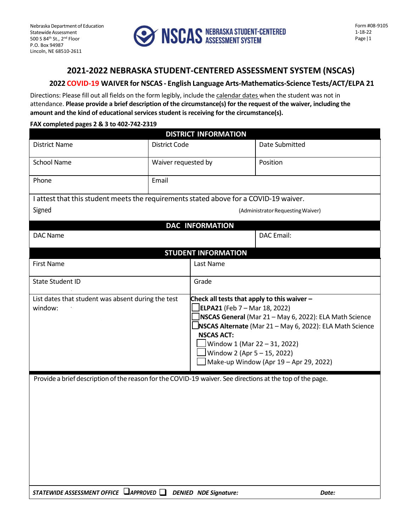

#### **2021-2022 NEBRASKA STUDENT-CENTERED ASSESSMENT SYSTEM (NSCAS)**

#### **2022 COVID-19 WAIVER for NSCAS - English Language Arts-Mathematics-Science Tests/ACT/ELPA 21**

Directions: Please fill out all fields on the form legibly, include the calendar dates when the student was not in attendance. **Please provide a brief description of the circumstance(s) for the request of the waiver, including the amount and the kind of educational services student is receiving for the circumstance(s).**

#### **FAX completed pages 2 & 3 to 402-742-2319**

| <b>DISTRICT INFORMATION</b>                                                                               |                                   |                                                                                                                                                                                                                                                                                                                                             |                   |
|-----------------------------------------------------------------------------------------------------------|-----------------------------------|---------------------------------------------------------------------------------------------------------------------------------------------------------------------------------------------------------------------------------------------------------------------------------------------------------------------------------------------|-------------------|
| <b>District Name</b>                                                                                      | District Code                     |                                                                                                                                                                                                                                                                                                                                             | Date Submitted    |
| <b>School Name</b>                                                                                        | Waiver requested by               |                                                                                                                                                                                                                                                                                                                                             | Position          |
| Phone                                                                                                     | Email                             |                                                                                                                                                                                                                                                                                                                                             |                   |
| I attest that this student meets the requirements stated above for a COVID-19 waiver.                     |                                   |                                                                                                                                                                                                                                                                                                                                             |                   |
| Signed                                                                                                    | (Administrator Requesting Waiver) |                                                                                                                                                                                                                                                                                                                                             |                   |
| <b>DAC INFORMATION</b>                                                                                    |                                   |                                                                                                                                                                                                                                                                                                                                             |                   |
| DAC Name                                                                                                  |                                   |                                                                                                                                                                                                                                                                                                                                             | <b>DAC</b> Email: |
| <b>STUDENT INFORMATION</b>                                                                                |                                   |                                                                                                                                                                                                                                                                                                                                             |                   |
| <b>First Name</b>                                                                                         |                                   | Last Name                                                                                                                                                                                                                                                                                                                                   |                   |
| <b>State Student ID</b>                                                                                   |                                   | Grade                                                                                                                                                                                                                                                                                                                                       |                   |
| List dates that student was absent during the test<br>window:                                             |                                   | Check all tests that apply to this waiver -<br>ELPA21 (Feb 7 – Mar 18, 2022)<br>NSCAS General (Mar 21 - May 6, 2022): ELA Math Science<br><b>NSCAS Alternate</b> (Mar 21 - May 6, 2022): ELA Math Science<br><b>NSCAS ACT:</b><br>Window 1 (Mar 22 - 31, 2022)<br>$J$ Window 2 (Apr 5 – 15, 2022)<br>Make-up Window (Apr 19 - Apr 29, 2022) |                   |
| Provide a brief description of the reason for the COVID-19 waiver. See directions at the top of the page. |                                   |                                                                                                                                                                                                                                                                                                                                             |                   |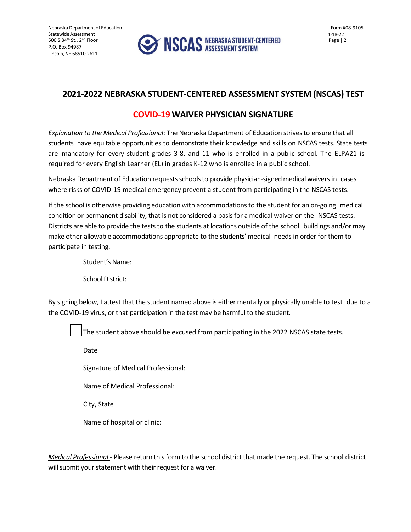Nebraska Department of Education Statewide Assessment 500 S 84th St., 2nd Floor P.O. Box 94987 Lincoln, NE 68510-2611



#### **2021-2022 NEBRASKA STUDENT-CENTERED ASSESSMENT SYSTEM (NSCAS) TEST**

### **COVID-19 WAIVER PHYSICIAN SIGNATURE**

*Explanation to the Medical Professional*: The Nebraska Department of Education strivesto ensure that all students have equitable opportunities to demonstrate their knowledge and skills on NSCAS tests. State tests are mandatory for every student grades 3-8, and 11 who is enrolled in a public school. The ELPA21 is required for every English Learner (EL) in grades K-12 who is enrolled in a public school.

Nebraska Department of Education requestsschoolsto provide physician-signedmedical waivers in cases where risks of COVID-19 medical emergency prevent a student from participating in the NSCAS tests.

If the school is otherwise providing education with accommodations to the student for an on-going medical condition or permanent disability, that is not considered a basis for a medical waiver on the NSCAS tests. Districts are able to provide the tests to the students at locations outside of the school buildings and/or may make other allowable accommodations appropriate to the students' medical needs in order for them to participate in testing.

Student's Name:

School District:

By signing below, I attest that the student named above is either mentally or physically unable to test due to a the COVID-19 virus, or that participation in the test may be harmful to the student.

The student above should be excused from participating in the 2022 NSCAS state tests.

Date

Signature of Medical Professional:

Name of Medical Professional:

City, State

Name of hospital or clinic:

*Medical Professional* - Please return this form to the school district that made the request. The school district will submit your statement with their request for a waiver.